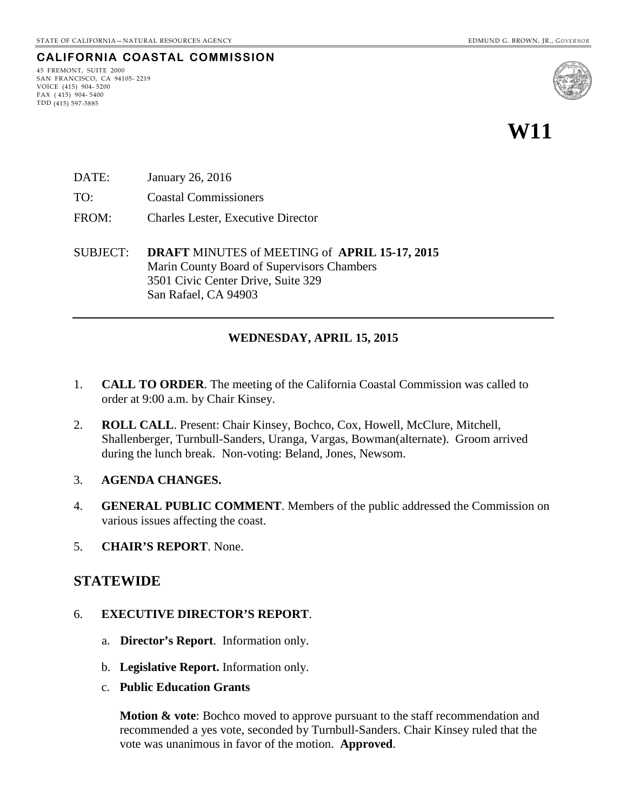#### **CALIFORNIA COASTAL COMMISSION**

45 FREMONT, SUITE 2000 SAN FRANCISCO, CA 94105- 2219 VOICE (415) 904- 5200 FAX  $(415)$  904-5400 TDD (415) 597-5885



**W11** 

- DATE: January 26, 2016
- TO: Coastal Commissioners
- FROM: Charles Lester, Executive Director
- SUBJECT: **DRAFT** MINUTES of MEETING of **APRIL 15-17, 2015** Marin County Board of Supervisors Chambers 3501 Civic Center Drive, Suite 329 San Rafael, CA 94903

#### **WEDNESDAY, APRIL 15, 2015**

- 1. **CALL TO ORDER**. The meeting of the California Coastal Commission was called to order at 9:00 a.m. by Chair Kinsey.
- 2. **ROLL CALL**. Present: Chair Kinsey, Bochco, Cox, Howell, McClure, Mitchell, Shallenberger, Turnbull-Sanders, Uranga, Vargas, Bowman(alternate). Groom arrived during the lunch break. Non-voting: Beland, Jones, Newsom.
- 3. **AGENDA CHANGES.**
- 4. **GENERAL PUBLIC COMMENT**. Members of the public addressed the Commission on various issues affecting the coast.
- 5. **CHAIR'S REPORT**. None.

#### **STATEWIDE**

- 6. **EXECUTIVE DIRECTOR'S REPORT**.
	- a. **Director's Report**. Information only.
	- b. **Legislative Report.** Information only.
	- c. **Public Education Grants**

**Motion & vote**: Bochco moved to approve pursuant to the staff recommendation and recommended a yes vote, seconded by Turnbull-Sanders. Chair Kinsey ruled that the vote was unanimous in favor of the motion. **Approved**.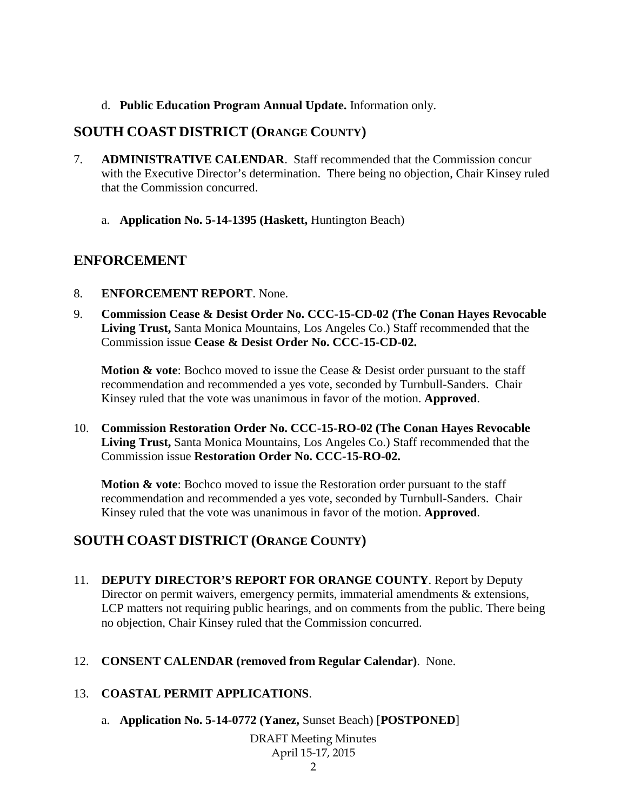d. **Public Education Program Annual Update.** Information only.

## **SOUTH COAST DISTRICT (ORANGE COUNTY)**

- 7. **ADMINISTRATIVE CALENDAR**. Staff recommended that the Commission concur with the Executive Director's determination. There being no objection, Chair Kinsey ruled that the Commission concurred.
	- a. **Application No. 5-14-1395 (Haskett,** Huntington Beach)

# **ENFORCEMENT**

- 8. **ENFORCEMENT REPORT**. None.
- 9. **Commission Cease & Desist Order No. CCC-15-CD-02 (The Conan Hayes Revocable Living Trust,** Santa Monica Mountains, Los Angeles Co.) Staff recommended that the Commission issue **Cease & Desist Order No. CCC-15-CD-02.**

**Motion & vote:** Bochco moved to issue the Cease & Desist order pursuant to the staff recommendation and recommended a yes vote, seconded by Turnbull-Sanders. Chair Kinsey ruled that the vote was unanimous in favor of the motion. **Approved**.

10. **Commission Restoration Order No. CCC-15-RO-02 (The Conan Hayes Revocable Living Trust,** Santa Monica Mountains, Los Angeles Co.) Staff recommended that the Commission issue **Restoration Order No. CCC-15-RO-02.** 

**Motion & vote**: Bochco moved to issue the Restoration order pursuant to the staff recommendation and recommended a yes vote, seconded by Turnbull-Sanders. Chair Kinsey ruled that the vote was unanimous in favor of the motion. **Approved**.

# **SOUTH COAST DISTRICT (ORANGE COUNTY)**

- 11. **DEPUTY DIRECTOR'S REPORT FOR ORANGE COUNTY**. Report by Deputy Director on permit waivers, emergency permits, immaterial amendments & extensions, LCP matters not requiring public hearings, and on comments from the public. There being no objection, Chair Kinsey ruled that the Commission concurred.
- 12. **CONSENT CALENDAR (removed from Regular Calendar)**. None.

## 13. **COASTAL PERMIT APPLICATIONS**.

a. **Application No. 5-14-0772 (Yanez,** Sunset Beach) [**POSTPONED**]

DRAFT Meeting Minutes April 15-17, 2015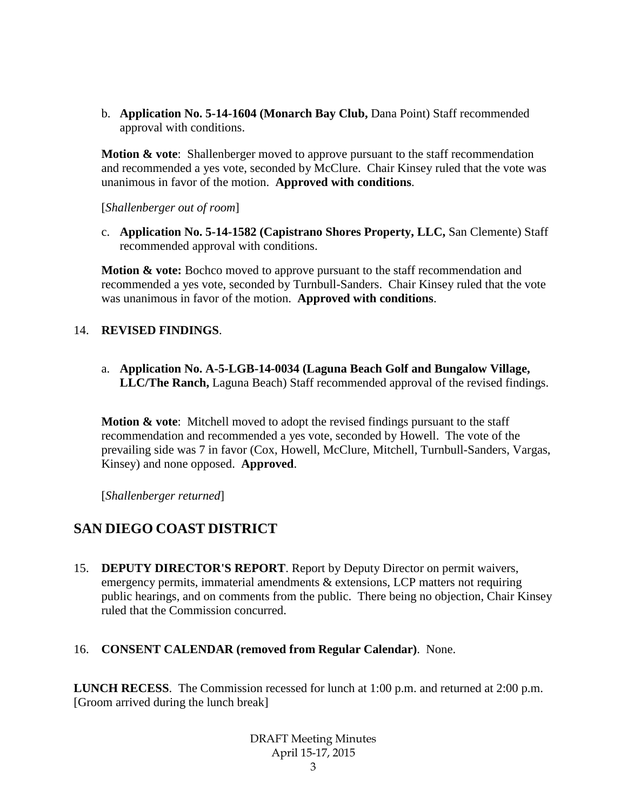b. **Application No. 5-14-1604 (Monarch Bay Club,** Dana Point) Staff recommended approval with conditions.

**Motion & vote**: Shallenberger moved to approve pursuant to the staff recommendation and recommended a yes vote, seconded by McClure. Chair Kinsey ruled that the vote was unanimous in favor of the motion. **Approved with conditions**.

[*Shallenberger out of room*]

c. **Application No. 5-14-1582 (Capistrano Shores Property, LLC,** San Clemente) Staff recommended approval with conditions.

**Motion & vote:** Bochco moved to approve pursuant to the staff recommendation and recommended a yes vote, seconded by Turnbull-Sanders. Chair Kinsey ruled that the vote was unanimous in favor of the motion. **Approved with conditions**.

#### 14. **REVISED FINDINGS**.

a. **Application No. A-5-LGB-14-0034 (Laguna Beach Golf and Bungalow Village, LLC/The Ranch,** Laguna Beach) Staff recommended approval of the revised findings.

**Motion & vote:** Mitchell moved to adopt the revised findings pursuant to the staff recommendation and recommended a yes vote, seconded by Howell. The vote of the prevailing side was 7 in favor (Cox, Howell, McClure, Mitchell, Turnbull-Sanders, Vargas, Kinsey) and none opposed. **Approved**.

[*Shallenberger returned*]

## **SAN DIEGO COAST DISTRICT**

15. **DEPUTY DIRECTOR'S REPORT**. Report by Deputy Director on permit waivers, emergency permits, immaterial amendments & extensions, LCP matters not requiring public hearings, and on comments from the public. There being no objection, Chair Kinsey ruled that the Commission concurred.

#### 16. **CONSENT CALENDAR (removed from Regular Calendar)**. None.

**LUNCH RECESS**. The Commission recessed for lunch at 1:00 p.m. and returned at 2:00 p.m. [Groom arrived during the lunch break]

> DRAFT Meeting Minutes April 15-17, 2015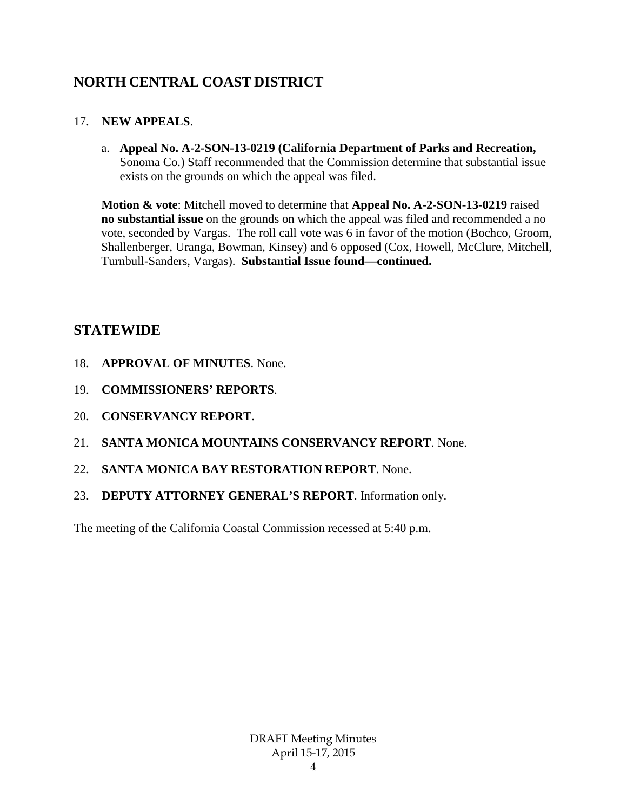# **NORTH CENTRAL COAST DISTRICT**

## 17. **NEW APPEALS**.

a. **Appeal No. A-2-SON-13-0219 (California Department of Parks and Recreation,**  Sonoma Co.) Staff recommended that the Commission determine that substantial issue exists on the grounds on which the appeal was filed.

**Motion & vote**: Mitchell moved to determine that **Appeal No. A-2-SON-13-0219** raised **no substantial issue** on the grounds on which the appeal was filed and recommended a no vote, seconded by Vargas. The roll call vote was 6 in favor of the motion (Bochco, Groom, Shallenberger, Uranga, Bowman, Kinsey) and 6 opposed (Cox, Howell, McClure, Mitchell, Turnbull-Sanders, Vargas). **Substantial Issue found—continued.**

# **STATEWIDE**

- 18. **APPROVAL OF MINUTES**. None.
- 19. **COMMISSIONERS' REPORTS**.
- 20. **CONSERVANCY REPORT**.
- 21. **SANTA MONICA MOUNTAINS CONSERVANCY REPORT**. None.
- 22. **SANTA MONICA BAY RESTORATION REPORT**. None.
- 23. **DEPUTY ATTORNEY GENERAL'S REPORT**. Information only.

The meeting of the California Coastal Commission recessed at 5:40 p.m.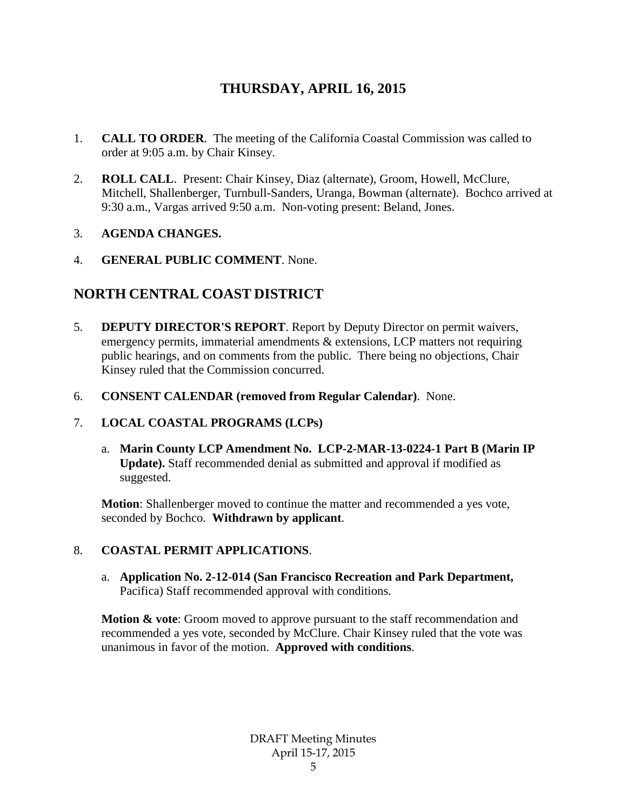# **THURSDAY, APRIL 16, 2015**

- 1. **CALL TO ORDER**. The meeting of the California Coastal Commission was called to order at 9:05 a.m. by Chair Kinsey.
- 2. **ROLL CALL**. Present: Chair Kinsey, Diaz (alternate), Groom, Howell, McClure, Mitchell, Shallenberger, Turnbull-Sanders, Uranga, Bowman (alternate). Bochco arrived at 9:30 a.m., Vargas arrived 9:50 a.m. Non-voting present: Beland, Jones.

### 3. **AGENDA CHANGES.**

4. **GENERAL PUBLIC COMMENT**. None.

# **NORTH CENTRAL COAST DISTRICT**

- 5. **DEPUTY DIRECTOR'S REPORT**. Report by Deputy Director on permit waivers, emergency permits, immaterial amendments & extensions, LCP matters not requiring public hearings, and on comments from the public. There being no objections, Chair Kinsey ruled that the Commission concurred.
- 6. **CONSENT CALENDAR (removed from Regular Calendar)**. None.

#### 7. **LOCAL COASTAL PROGRAMS (LCPs)**

a. **Marin County LCP Amendment No. LCP-2-MAR-13-0224-1 Part B (Marin IP Update).** Staff recommended denial as submitted and approval if modified as suggested.

**Motion**: Shallenberger moved to continue the matter and recommended a yes vote, seconded by Bochco. **Withdrawn by applicant**.

## 8. **COASTAL PERMIT APPLICATIONS**.

a. **Application No. 2-12-014 (San Francisco Recreation and Park Department,**  Pacifica) Staff recommended approval with conditions.

**Motion & vote:** Groom moved to approve pursuant to the staff recommendation and recommended a yes vote, seconded by McClure. Chair Kinsey ruled that the vote was unanimous in favor of the motion. **Approved with conditions**.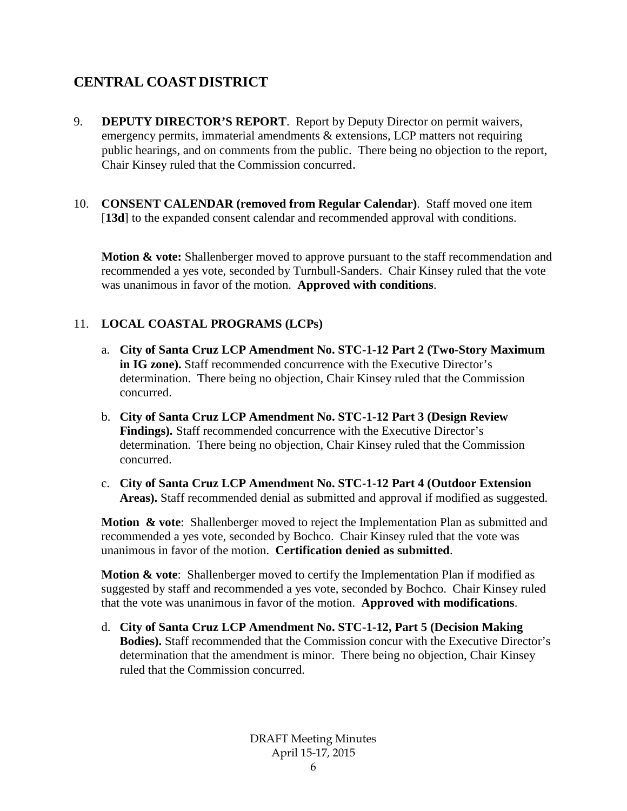# **CENTRAL COAST DISTRICT**

- 9. **DEPUTY DIRECTOR'S REPORT**. Report by Deputy Director on permit waivers, emergency permits, immaterial amendments & extensions, LCP matters not requiring public hearings, and on comments from the public. There being no objection to the report, Chair Kinsey ruled that the Commission concurred.
- 10. **CONSENT CALENDAR (removed from Regular Calendar)**. Staff moved one item [**13d**] to the expanded consent calendar and recommended approval with conditions.

**Motion & vote:** Shallenberger moved to approve pursuant to the staff recommendation and recommended a yes vote, seconded by Turnbull-Sanders. Chair Kinsey ruled that the vote was unanimous in favor of the motion. **Approved with conditions**.

## 11. **LOCAL COASTAL PROGRAMS (LCPs)**

- a. **City of Santa Cruz LCP Amendment No. STC-1-12 Part 2 (Two-Story Maximum in IG zone).** Staff recommended concurrence with the Executive Director's determination. There being no objection, Chair Kinsey ruled that the Commission concurred.
- b. **City of Santa Cruz LCP Amendment No. STC-1-12 Part 3 (Design Review Findings).** Staff recommended concurrence with the Executive Director's determination. There being no objection, Chair Kinsey ruled that the Commission concurred.
- c. **City of Santa Cruz LCP Amendment No. STC-1-12 Part 4 (Outdoor Extension Areas).** Staff recommended denial as submitted and approval if modified as suggested.

**Motion & vote**: Shallenberger moved to reject the Implementation Plan as submitted and recommended a yes vote, seconded by Bochco. Chair Kinsey ruled that the vote was unanimous in favor of the motion. **Certification denied as submitted**.

**Motion & vote:** Shallenberger moved to certify the Implementation Plan if modified as suggested by staff and recommended a yes vote, seconded by Bochco. Chair Kinsey ruled that the vote was unanimous in favor of the motion. **Approved with modifications**.

d. **City of Santa Cruz LCP Amendment No. STC-1-12, Part 5 (Decision Making Bodies).** Staff recommended that the Commission concur with the Executive Director's determination that the amendment is minor. There being no objection, Chair Kinsey ruled that the Commission concurred.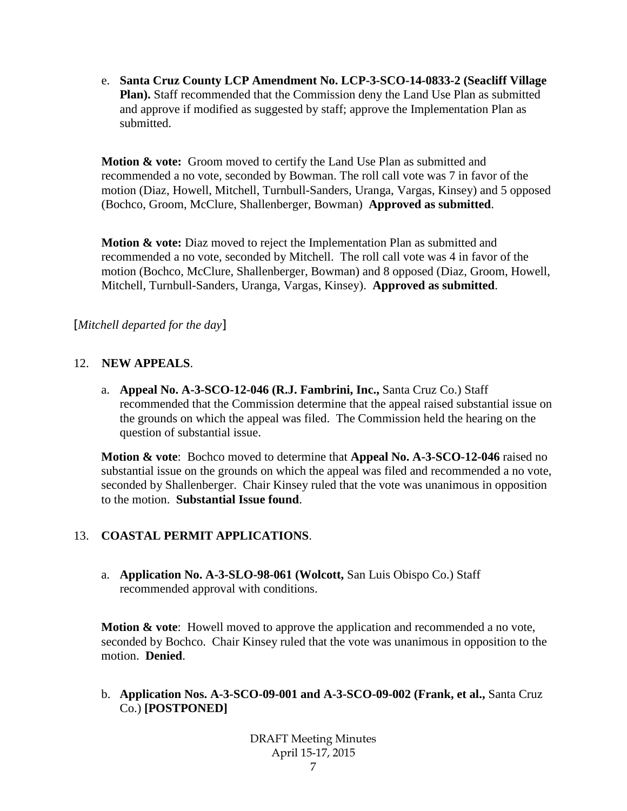e. **Santa Cruz County LCP Amendment No. LCP-3-SCO-14-0833-2 (Seacliff Village Plan).** Staff recommended that the Commission deny the Land Use Plan as submitted and approve if modified as suggested by staff; approve the Implementation Plan as submitted.

**Motion & vote:** Groom moved to certify the Land Use Plan as submitted and recommended a no vote, seconded by Bowman. The roll call vote was 7 in favor of the motion (Diaz, Howell, Mitchell, Turnbull-Sanders, Uranga, Vargas, Kinsey) and 5 opposed (Bochco, Groom, McClure, Shallenberger, Bowman) **Approved as submitted**.

**Motion & vote:** Diaz moved to reject the Implementation Plan as submitted and recommended a no vote, seconded by Mitchell. The roll call vote was 4 in favor of the motion (Bochco, McClure, Shallenberger, Bowman) and 8 opposed (Diaz, Groom, Howell, Mitchell, Turnbull-Sanders, Uranga, Vargas, Kinsey). **Approved as submitted**.

[*Mitchell departed for the day*]

### 12. **NEW APPEALS**.

a. **Appeal No. A-3-SCO-12-046 (R.J. Fambrini, Inc.,** Santa Cruz Co.) Staff recommended that the Commission determine that the appeal raised substantial issue on the grounds on which the appeal was filed. The Commission held the hearing on the question of substantial issue.

**Motion & vote**: Bochco moved to determine that **Appeal No. A-3-SCO-12-046** raised no substantial issue on the grounds on which the appeal was filed and recommended a no vote, seconded by Shallenberger. Chair Kinsey ruled that the vote was unanimous in opposition to the motion. **Substantial Issue found**.

## 13. **COASTAL PERMIT APPLICATIONS**.

a. **Application No. A-3-SLO-98-061 (Wolcott,** San Luis Obispo Co.) Staff recommended approval with conditions.

**Motion & vote:** Howell moved to approve the application and recommended a no vote, seconded by Bochco. Chair Kinsey ruled that the vote was unanimous in opposition to the motion. **Denied**.

b. **Application Nos. A-3-SCO-09-001 and A-3-SCO-09-002 (Frank, et al.,** Santa Cruz Co.) **[POSTPONED]**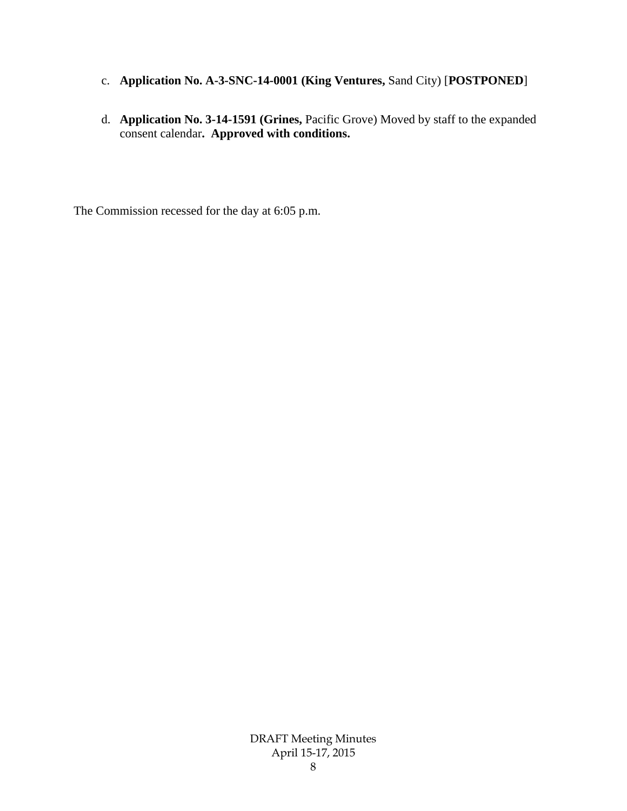- c. **Application No. A-3-SNC-14-0001 (King Ventures,** Sand City) [**POSTPONED**]
- d. **Application No. 3-14-1591 (Grines,** Pacific Grove) Moved by staff to the expanded consent calendar**. Approved with conditions.**

The Commission recessed for the day at 6:05 p.m.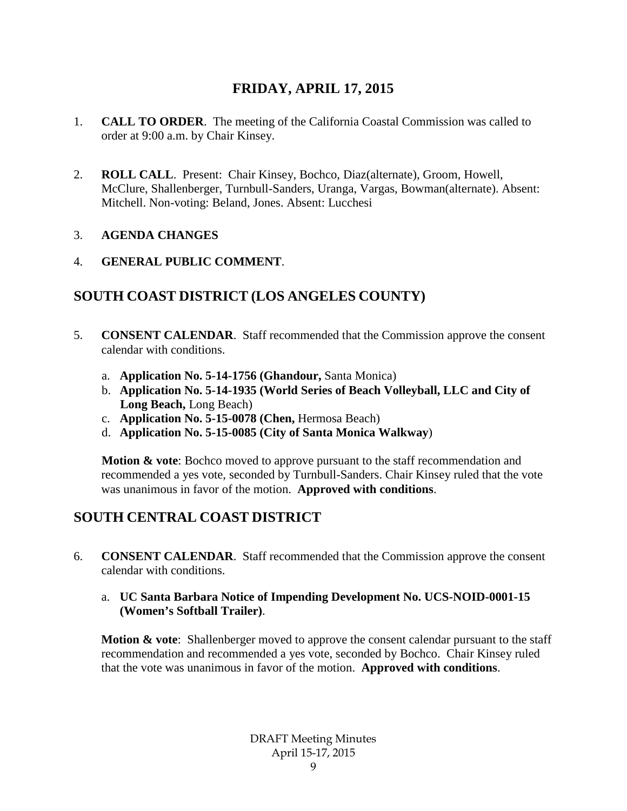# **FRIDAY, APRIL 17, 2015**

- 1. **CALL TO ORDER**. The meeting of the California Coastal Commission was called to order at 9:00 a.m. by Chair Kinsey.
- 2. **ROLL CALL**. Present: Chair Kinsey, Bochco, Diaz(alternate), Groom, Howell, McClure, Shallenberger, Turnbull-Sanders, Uranga, Vargas, Bowman(alternate). Absent: Mitchell. Non-voting: Beland, Jones. Absent: Lucchesi

#### 3. **AGENDA CHANGES**

### 4. **GENERAL PUBLIC COMMENT**.

# **SOUTH COAST DISTRICT (LOS ANGELES COUNTY)**

- 5. **CONSENT CALENDAR**. Staff recommended that the Commission approve the consent calendar with conditions.
	- a. **Application No. 5-14-1756 (Ghandour,** Santa Monica)
	- b. **Application No. 5-14-1935 (World Series of Beach Volleyball, LLC and City of Long Beach,** Long Beach)
	- c. **Application No. 5-15-0078 (Chen,** Hermosa Beach)
	- d. **Application No. 5-15-0085 (City of Santa Monica Walkway**)

**Motion & vote:** Bochco moved to approve pursuant to the staff recommendation and recommended a yes vote, seconded by Turnbull-Sanders. Chair Kinsey ruled that the vote was unanimous in favor of the motion. **Approved with conditions**.

# **SOUTH CENTRAL COAST DISTRICT**

6. **CONSENT CALENDAR**. Staff recommended that the Commission approve the consent calendar with conditions.

#### a. **UC Santa Barbara Notice of Impending Development No. UCS-NOID-0001-15 (Women's Softball Trailer)**.

**Motion & vote:** Shallenberger moved to approve the consent calendar pursuant to the staff recommendation and recommended a yes vote, seconded by Bochco. Chair Kinsey ruled that the vote was unanimous in favor of the motion. **Approved with conditions**.

> DRAFT Meeting Minutes April 15-17, 2015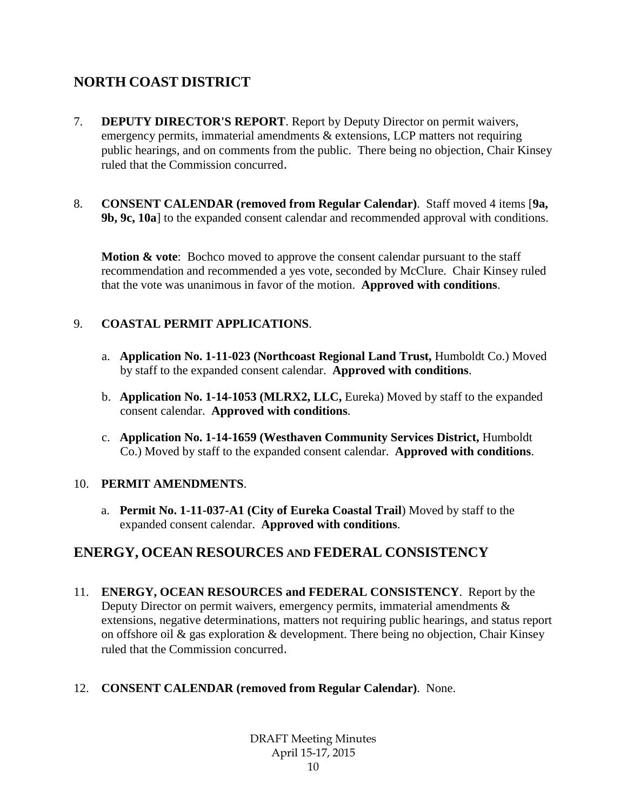# **NORTH COAST DISTRICT**

- 7. **DEPUTY DIRECTOR'S REPORT**. Report by Deputy Director on permit waivers, emergency permits, immaterial amendments & extensions, LCP matters not requiring public hearings, and on comments from the public. There being no objection, Chair Kinsey ruled that the Commission concurred.
- 8. **CONSENT CALENDAR (removed from Regular Calendar)**. Staff moved 4 items [**9a, 9b, 9c, 10a**] to the expanded consent calendar and recommended approval with conditions.

**Motion & vote:** Bochco moved to approve the consent calendar pursuant to the staff recommendation and recommended a yes vote, seconded by McClure. Chair Kinsey ruled that the vote was unanimous in favor of the motion. **Approved with conditions**.

## 9. **COASTAL PERMIT APPLICATIONS**.

- a. **Application No. 1-11-023 (Northcoast Regional Land Trust,** Humboldt Co.) Moved by staff to the expanded consent calendar. **Approved with conditions**.
- b. **Application No. 1-14-1053 (MLRX2, LLC,** Eureka) Moved by staff to the expanded consent calendar. **Approved with conditions**.
- c. **Application No. 1-14-1659 (Westhaven Community Services District,** Humboldt Co.) Moved by staff to the expanded consent calendar. **Approved with conditions**.

## 10. **PERMIT AMENDMENTS**.

a. **Permit No. 1-11-037-A1 (City of Eureka Coastal Trail**) Moved by staff to the expanded consent calendar. **Approved with conditions**.

# **ENERGY, OCEAN RESOURCES AND FEDERAL CONSISTENCY**

11. **ENERGY, OCEAN RESOURCES and FEDERAL CONSISTENCY**. Report by the Deputy Director on permit waivers, emergency permits, immaterial amendments  $\&$ extensions, negative determinations, matters not requiring public hearings, and status report on offshore oil & gas exploration & development. There being no objection, Chair Kinsey ruled that the Commission concurred.

## 12. **CONSENT CALENDAR (removed from Regular Calendar)**. None.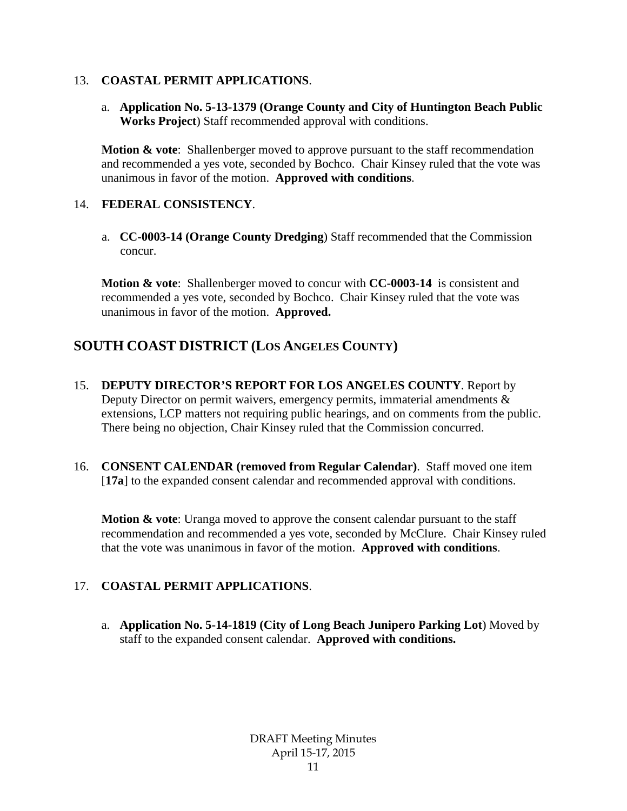#### 13. **COASTAL PERMIT APPLICATIONS**.

a. **Application No. 5-13-1379 (Orange County and City of Huntington Beach Public Works Project**) Staff recommended approval with conditions.

**Motion & vote:** Shallenberger moved to approve pursuant to the staff recommendation and recommended a yes vote, seconded by Bochco. Chair Kinsey ruled that the vote was unanimous in favor of the motion. **Approved with conditions**.

#### 14. **FEDERAL CONSISTENCY**.

a. **CC-0003-14 (Orange County Dredging**) Staff recommended that the Commission concur.

**Motion & vote**: Shallenberger moved to concur with **CC-0003-14** is consistent and recommended a yes vote, seconded by Bochco. Chair Kinsey ruled that the vote was unanimous in favor of the motion. **Approved.**

# **SOUTH COAST DISTRICT (LOS ANGELES COUNTY)**

- 15. **DEPUTY DIRECTOR'S REPORT FOR LOS ANGELES COUNTY**. Report by Deputy Director on permit waivers, emergency permits, immaterial amendments  $\&$ extensions, LCP matters not requiring public hearings, and on comments from the public. There being no objection, Chair Kinsey ruled that the Commission concurred.
- 16. **CONSENT CALENDAR (removed from Regular Calendar)**. Staff moved one item [**17a**] to the expanded consent calendar and recommended approval with conditions.

**Motion & vote**: Uranga moved to approve the consent calendar pursuant to the staff recommendation and recommended a yes vote, seconded by McClure. Chair Kinsey ruled that the vote was unanimous in favor of the motion. **Approved with conditions**.

## 17. **COASTAL PERMIT APPLICATIONS**.

a. **Application No. 5-14-1819 (City of Long Beach Junipero Parking Lot**) Moved by staff to the expanded consent calendar. **Approved with conditions.**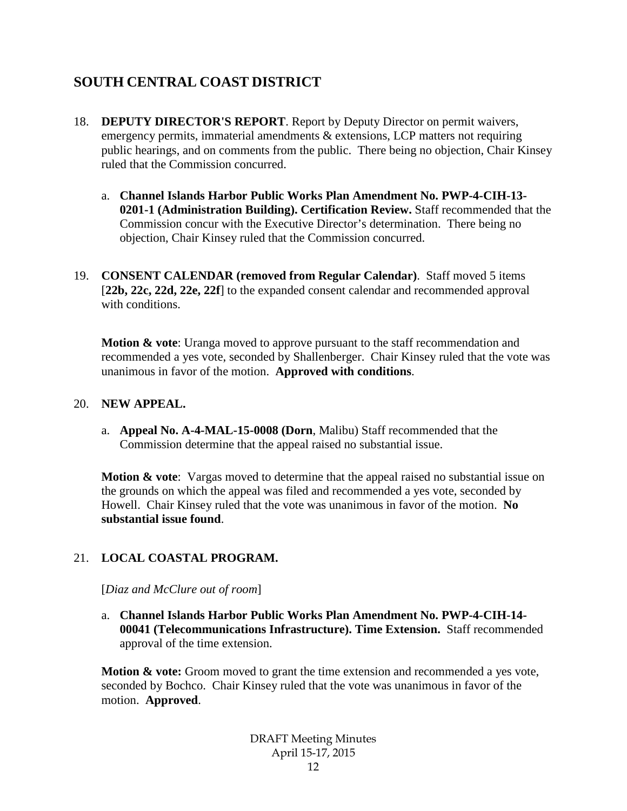# **SOUTH CENTRAL COAST DISTRICT**

- 18. **DEPUTY DIRECTOR'S REPORT**. Report by Deputy Director on permit waivers, emergency permits, immaterial amendments & extensions, LCP matters not requiring public hearings, and on comments from the public. There being no objection, Chair Kinsey ruled that the Commission concurred.
	- a. **Channel Islands Harbor Public Works Plan Amendment No. PWP-4-CIH-13- 0201-1 (Administration Building). Certification Review.** Staff recommended that the Commission concur with the Executive Director's determination. There being no objection, Chair Kinsey ruled that the Commission concurred.
- 19. **CONSENT CALENDAR (removed from Regular Calendar)**. Staff moved 5 items [**22b, 22c, 22d, 22e, 22f**] to the expanded consent calendar and recommended approval with conditions.

**Motion & vote:** Uranga moved to approve pursuant to the staff recommendation and recommended a yes vote, seconded by Shallenberger. Chair Kinsey ruled that the vote was unanimous in favor of the motion. **Approved with conditions**.

#### 20. **NEW APPEAL.**

a. **Appeal No. A-4-MAL-15-0008 (Dorn**, Malibu) Staff recommended that the Commission determine that the appeal raised no substantial issue.

**Motion & vote**: Vargas moved to determine that the appeal raised no substantial issue on the grounds on which the appeal was filed and recommended a yes vote, seconded by Howell. Chair Kinsey ruled that the vote was unanimous in favor of the motion. **No substantial issue found**.

## 21. **LOCAL COASTAL PROGRAM.**

[*Diaz and McClure out of room*]

a. **Channel Islands Harbor Public Works Plan Amendment No. PWP-4-CIH-14- 00041 (Telecommunications Infrastructure). Time Extension.** Staff recommended approval of the time extension.

**Motion & vote:** Groom moved to grant the time extension and recommended a yes vote, seconded by Bochco. Chair Kinsey ruled that the vote was unanimous in favor of the motion. **Approved**.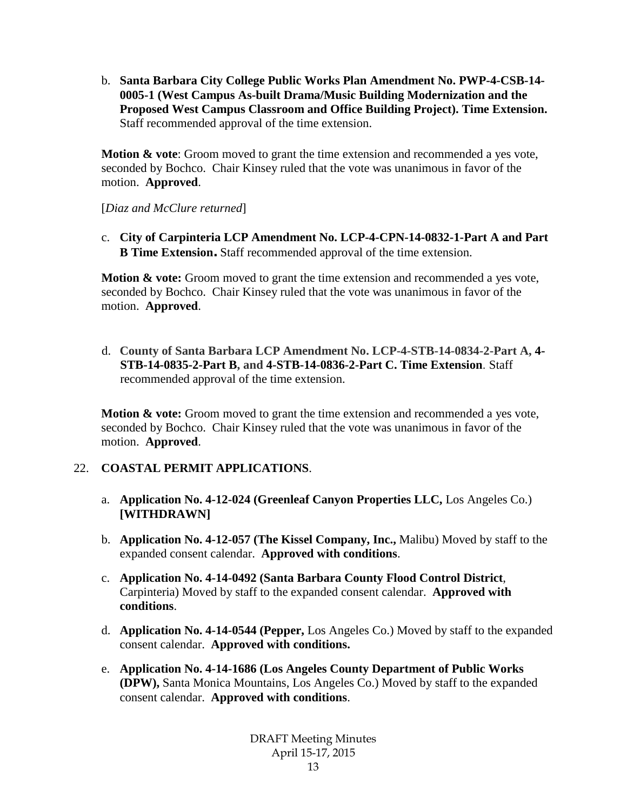b. **Santa Barbara City College Public Works Plan Amendment No. PWP-4-CSB-14- 0005-1 (West Campus As-built Drama/Music Building Modernization and the Proposed West Campus Classroom and Office Building Project). Time Extension.** Staff recommended approval of the time extension.

**Motion & vote**: Groom moved to grant the time extension and recommended a yes vote, seconded by Bochco. Chair Kinsey ruled that the vote was unanimous in favor of the motion. **Approved**.

[*Diaz and McClure returned*]

c. **City of Carpinteria LCP Amendment No. LCP-4-CPN-14-0832-1-Part A and Part B Time Extension.** Staff recommended approval of the time extension.

**Motion & vote:** Groom moved to grant the time extension and recommended a yes vote, seconded by Bochco. Chair Kinsey ruled that the vote was unanimous in favor of the motion. **Approved**.

d. **County of Santa Barbara LCP Amendment No. LCP-4-STB-14-0834-2-Part A, 4- STB-14-0835-2-Part B, and 4-STB-14-0836-2-Part C. Time Extension**. Staff recommended approval of the time extension.

**Motion & vote:** Groom moved to grant the time extension and recommended a yes vote, seconded by Bochco. Chair Kinsey ruled that the vote was unanimous in favor of the motion. **Approved**.

## 22. **COASTAL PERMIT APPLICATIONS**.

- a. **Application No. 4-12-024 (Greenleaf Canyon Properties LLC,** Los Angeles Co.) **[WITHDRAWN]**
- b. **Application No. 4-12-057 (The Kissel Company, Inc.,** Malibu) Moved by staff to the expanded consent calendar. **Approved with conditions**.
- c. **Application No. 4-14-0492 (Santa Barbara County Flood Control District**, Carpinteria) Moved by staff to the expanded consent calendar. **Approved with conditions**.
- d. **Application No. 4-14-0544 (Pepper,** Los Angeles Co.) Moved by staff to the expanded consent calendar. **Approved with conditions.**
- e. **Application No. 4-14-1686 (Los Angeles County Department of Public Works (DPW),** Santa Monica Mountains, Los Angeles Co.) Moved by staff to the expanded consent calendar. **Approved with conditions**.